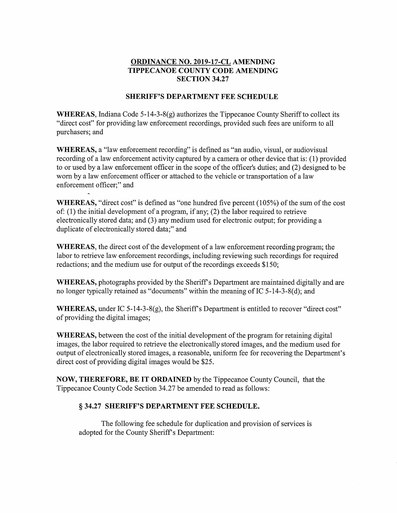## ORDINANCE NO. 2019-17-CL AMENDING TIPPECANOE COUNTY CODE AMENDING **SECTION 34.27**

## SHERIFF'S DEPARTMENT FEE SCHEDULE

WHEREAS, Indiana Code  $5-14-3-8(g)$  authorizes the Tippecanoe County Sheriff to collect its "direct cost" for providing law enforcement recordings, provided such fees are uniform to all purchasers; and

WHEREAS, <sup>a</sup> "law enforcement recording" is defined as "an audio, visual, or audiovisual recording of <sup>a</sup> law enforcement activity captured by <sup>a</sup> camera or other device that is: (1) provided to or used by <sup>a</sup> law enforcement officer in the scope of the officer's duties; and (2) designed to be worn by <sup>a</sup> law enforcement officer or attached to the vehicle or transportation of <sup>a</sup> law enforcement officer;" and

**WHEREAS,** "direct cost" is defined as "one hundred five percent  $(105%)$  of the sum of the cost of: (1) the initial development of <sup>a</sup> program, if any; (2) the labor required to retrieve electronically stored data; and (3) any medium used for electronic output; for providing <sup>a</sup> duplicate of electronically stored data;" and

WHEREAS, the direct cost of the development of <sup>a</sup> law enforcement recording program; the labor to retrieve law enforcement recordings, including reviewing such recordings for required redactions; and the medium use for output of the recordings exceeds \$150;

WHEREAS, photographs provided by the Sheriff's Department are maintained digitally and are no longer typically retained as "documents" Within the meaning of IC 5-14-3-8(d); and

WHEREAS, under IC 5-14-3-8(g), the Sheriff's Department is entitled to recover "direct cost" of providing the digital images;

WHEREAS, between the cost of the initial development of the program for retaining digital images, the labor required to retrieve the electronically stored images, and the medium used for output of electronically stored images, <sup>a</sup> reasonable, uniform fee for recovering the Department's direct cost of providing digital images would be \$25.

NOW, THEREFORE, BE IT ORDAINED by the Tippecanoe County Council, that the Tippecanoe County Code Section 34.27 be amended to read as follows:

## § 34.27 SHERIFF'S DEPARTMENT FEE SCHEDULE.

The following fee schedule for duplication and provision of services is adopted for the County Sheriff's Department: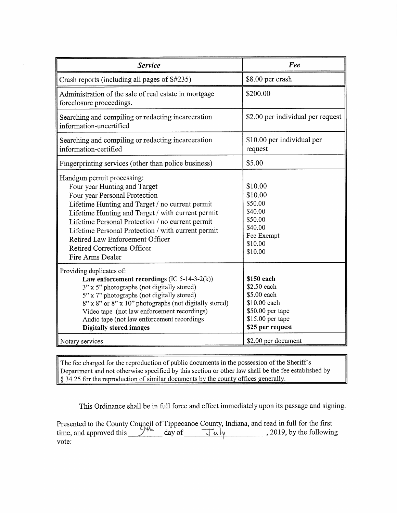| <b>Service</b>                                                                                                                                                                                                                                                                                                                                                                                             | Fee                                                                                                                  |
|------------------------------------------------------------------------------------------------------------------------------------------------------------------------------------------------------------------------------------------------------------------------------------------------------------------------------------------------------------------------------------------------------------|----------------------------------------------------------------------------------------------------------------------|
| Crash reports (including all pages of S#235)                                                                                                                                                                                                                                                                                                                                                               | \$8.00 per crash                                                                                                     |
| Administration of the sale of real estate in mortgage<br>foreclosure proceedings.                                                                                                                                                                                                                                                                                                                          | \$200.00                                                                                                             |
| Searching and compiling or redacting incarceration<br>information-uncertified                                                                                                                                                                                                                                                                                                                              | \$2.00 per individual per request                                                                                    |
| Searching and compiling or redacting incarceration<br>information-certified                                                                                                                                                                                                                                                                                                                                | \$10.00 per individual per<br>request                                                                                |
| Fingerprinting services (other than police business)                                                                                                                                                                                                                                                                                                                                                       | \$5.00                                                                                                               |
| Handgun permit processing:<br>Four year Hunting and Target<br>Four year Personal Protection<br>Lifetime Hunting and Target / no current permit<br>Lifetime Hunting and Target / with current permit<br>Lifetime Personal Protection / no current permit<br>Lifetime Personal Protection / with current permit<br>Retired Law Enforcement Officer<br><b>Retired Corrections Officer</b><br>Fire Arms Dealer | \$10.00<br>\$10.00<br>\$50.00<br>\$40.00<br>\$50.00<br>\$40.00<br>Fee Exempt<br>\$10.00<br>\$10.00                   |
| Providing duplicates of:<br>Law enforcement recordings (IC 5-14-3-2(k))<br>3" x 5" photographs (not digitally stored)<br>5" x 7" photographs (not digitally stored)<br>8" x 8" or 8" x 10" photographs (not digitally stored)<br>Video tape (not law enforcement recordings)<br>Audio tape (not law enforcement recordings<br><b>Digitally stored images</b>                                               | \$150 each<br>\$2.50 each<br>\$5.00 each<br>\$10.00 each<br>\$50.00 per tape<br>\$15.00 per tape<br>\$25 per request |
| Notary services                                                                                                                                                                                                                                                                                                                                                                                            | \$2.00 per document                                                                                                  |

The fee charged for the reproduction of public documents in the possession of the Sheriff's Department and not otherwise specified by this section or other law shall be the fee established by § 34.25 for the reproduction of similar documents by the county offices generally.

This Ordinance shall be in full force and effect immediately upon its passage and signing.

Presented to the County Council of Tippecanoe County, Indiana, and read in full for the first time, and approved this  $\frac{1}{\sqrt{2\pi}}$  day of  $\frac{1}{\sqrt{2\pi}}$  , 2019, by the following vote: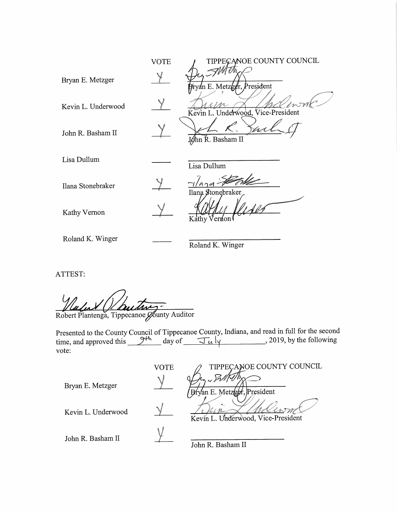|                    | <b>VOTE</b> | TIPPECANOE COUNTY COUNCIL                  |
|--------------------|-------------|--------------------------------------------|
| Bryan E. Metzger   |             | <i>MATT</i><br>Pryan E. Metzger, President |
| Kevin L. Underwood |             | Kevin L. Underwood, Vice-President         |
| John R. Basham II  |             | John R. Basham II                          |
| Lisa Dullum        |             | Lisa Dullum                                |
| Ilana Stonebraker  |             | Ilana Stonebraker                          |
| Kathy Vernon       |             | Kathy Vernon                               |
| Roland K. Winger   |             | Roland K. Winger                           |

ATTEST:

Robert Plantenga, Tippecanoe Ø6 unty Auditor \_ fr'

Presented to the County Council of Tippecanoe County, Indiana, and read in full for the second time, and approved this  $\frac{\partial^{H_n}}{\partial x^i}$  day of  $\frac{\partial^2 u}{\partial y^i}$ , 2019, by the following vote: '

|                    | VOTE | TIPPECANOE COUNTY COUNCIL          |
|--------------------|------|------------------------------------|
| Bryan E. Metzger   |      | Bryan E. Metzepr, President        |
| Kevin L. Underwood |      | Kevin L. Underwood, Vice-President |
| John R. Basham II  |      | John R. Basham II                  |